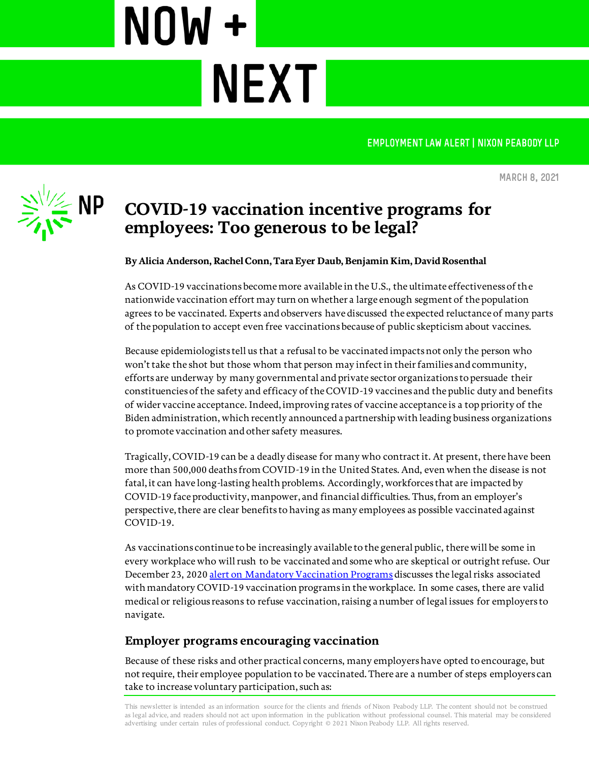**EMPLOYMENT LAW ALERT | NIXON PEABODY LLP** 



**March 8, 2021**

# **COVID-19 vaccination incentive programs for employees: Too generous to be legal?**

**NEXT** 

NOW +

**By Alicia Anderson, Rachel Conn, Tara Eyer Daub, Benjamin Kim, David Rosenthal**

As COVID-19 vaccinations become more available in the U.S., the ultimate effectiveness of the nationwide vaccination effort may turn on whether a large enough segment of the population agrees to be vaccinated. Experts and observers have discussed the expected reluctance of many parts of the population to accept even free vaccinations because of public skepticism about vaccines.

Because epidemiologists tell us that a refusal to be vaccinated impacts not only the person who won't take the shot but those whom that person may infect in their families and community, efforts are underway by many governmental and private sector organizations to persuade their constituencies of the safety and efficacy of the COVID-19 vaccines and the public duty and benefits of wider vaccine acceptance. Indeed, improving rates of vaccine acceptance is a top priority of the Biden administration, which recently announced a partnership with leading business organizations to promote vaccination and other safety measures.

Tragically, COVID-19 can be a deadly disease for many who contract it. At present, there have been more than 500,000 deaths from COVID-19 in the United States. And, even when the disease is not fatal, it can have long-lasting health problems. Accordingly, workforces that are impacted by COVID-19 face productivity, manpower, and financial difficulties. Thus, from an employer's perspective, there are clear benefits to having as many employees as possible vaccinated against COVID-19.

As vaccinations continue to be increasingly available to the general public, there will be some in every workplace who will rush to be vaccinated and some who are skeptical or outright refuse. Our December 23, 202[0 alert on Mandatory Vaccination Programs](https://www.nixonpeabody.com/en/ideas/articles/2020/12/23/mandatory-vaccination-programs-may-employers-stick-it-to-their-employees) discusses the legal risks associated with mandatory COVID-19 vaccination programs in the workplace. In some cases, there are valid medical or religious reasons to refuse vaccination, raising a number of legal issues for employers to navigate.

# **Employer programs encouraging vaccination**

Because of these risks and other practical concerns, many employers have opted to encourage, but not require, their employee population to be vaccinated. There are a number of steps employers can take to increase voluntary participation, such as:

This newsletter is intended as an information source for the clients and friends of Nixon Peabody LLP. The content should not be construed as legal advice, and readers should not act upon information in the publication without professional counsel. This material may be considered advertising under certain rules of professional conduct. Copyright © 2021 Nixon Peabody LLP. All rights reserved.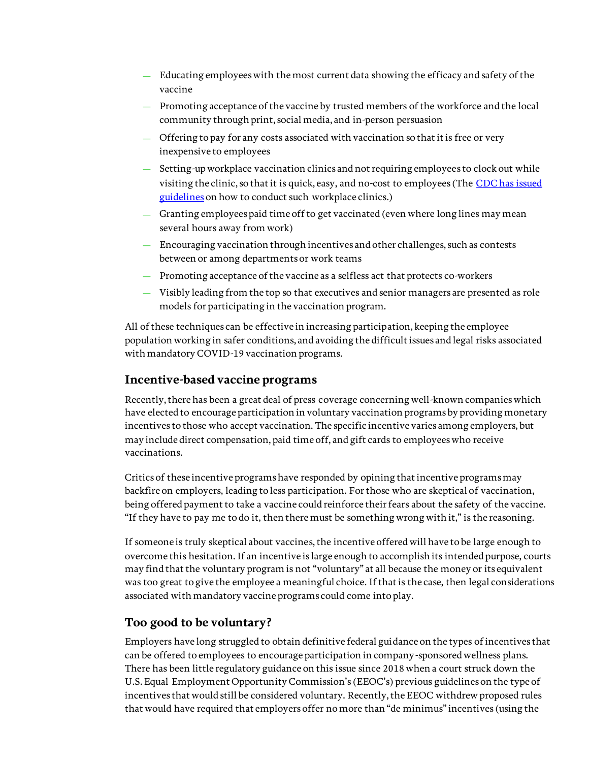- Educating employees with the most current data showing the efficacy and safety of the vaccine
- Promoting acceptance of the vaccine by trusted members of the workforce and the local community through print, social media, and in-person persuasion
- Offering to pay for any costs associated with vaccination so that it is free or very inexpensive to employees
- Setting-up workplace vaccination clinics and not requiring employees to clock out while visiting the clinic, so that it is quick, easy, and no-cost to employees (The [CDC has issued](https://www.cdc.gov/coronavirus/2019-ncov/vaccines/recommendations/essentialworker/workplace-vaccination-program.html)  [guidelines](https://www.cdc.gov/coronavirus/2019-ncov/vaccines/recommendations/essentialworker/workplace-vaccination-program.html) on how to conduct such workplace clinics.)
- Granting employees paid time off to get vaccinated (even where long lines may mean several hours away from work)
- Encouraging vaccination through incentives and other challenges, such as contests between or among departments or work teams
- Promoting acceptance of the vaccine as a selfless act that protects co-workers
- Visibly leading from the top so that executives and senior managers are presented as role models for participating in the vaccination program.

All of these techniques can be effective in increasing participation, keeping the employee population working in safer conditions, and avoiding the difficult issues and legal risks associated with mandatory COVID-19 vaccination programs.

# **Incentive-based vaccine programs**

Recently, there has been a great deal of press coverage concerning well-known companies which have elected to encourage participation in voluntary vaccination programs by providing monetary incentives to those who accept vaccination. The specific incentive varies among employers, but may include direct compensation, paid time off, and gift cards to employees who receive vaccinations.

Critics of these incentive programs have responded by opining that incentive programs may backfire on employers, leading to less participation. For those who are skeptical of vaccination, being offered payment to take a vaccine could reinforce their fears about the safety of the vaccine. "If they have to pay me to do it, then there must be something wrong with it," is the reasoning.

If someone is truly skeptical about vaccines, the incentive offered will have to be large enough to overcome this hesitation.If an incentive is large enough to accomplish its intended purpose, courts may find that the voluntary program is not "voluntary" at all because the money or its equivalent was too great to give the employee a meaningful choice. If that is the case, then legal considerations associated with mandatory vaccine programs could come into play.

# **Too good to be voluntary?**

Employers have long struggled to obtain definitive federal guidance on the types of incentives that can be offered to employees to encourage participation in company-sponsored wellness plans. There has been little regulatory guidance on this issue since 2018 when a court struck down the U.S. Equal Employment Opportunity Commission's (EEOC's) previous guidelines on the type of incentives that would still be considered voluntary. Recently, the EEOC withdrew proposed rules that would have required that employers offer no more than "de minimus" incentives (using the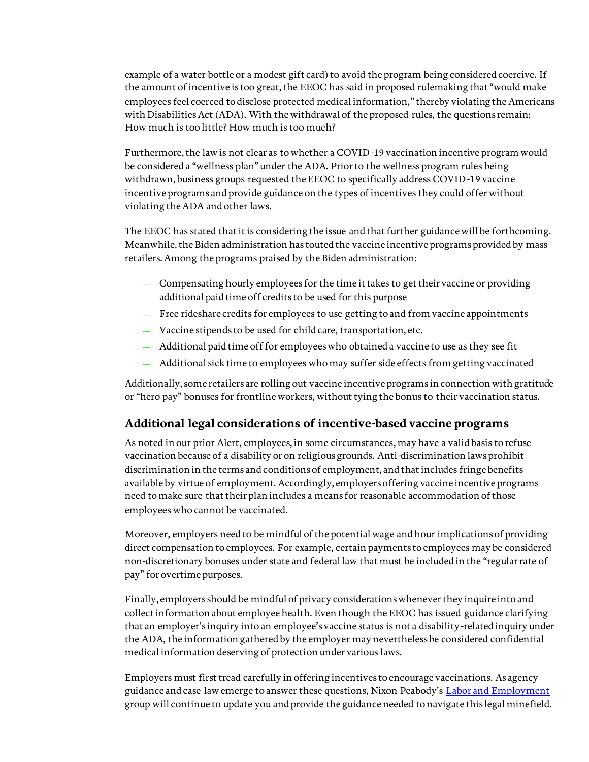example of a water bottle or a modest gift card) to avoid the program being considered coercive. If the amount of incentive is too great, the EEOC has said in proposed rulemaking that "would make employees feel coerced to disclose protected medical information," thereby violating the Americans with Disabilities Act (ADA). With the withdrawal of the proposed rules, the questions remain: How much is too little? How much is too much?

Furthermore, the law is not clear as to whether a COVID-19 vaccination incentive program would be considered a "wellness plan" under the ADA. Prior to the wellness program rules being withdrawn, business groups requested the EEOC to specifically address COVID-19 vaccine incentive programs and provide guidance on the types of incentives they could offer without violating the ADA and other laws.

The EEOC has stated that it is considering the issue and that further guidance will be forthcoming. Meanwhile, the Biden administration has touted the vaccine incentive programs provided by mass retailers. Among the programs praised by the Biden administration:

- Compensating hourly employees for the time it takes to get their vaccine or providing additional paid time off credits to be used for this purpose
- Free rideshare credits for employees to use getting to and from vaccine appointments
- Vaccine stipends to be used for child care, transportation, etc.
- Additional paid time off for employees who obtained a vaccine to use as they see fit
- Additional sick time to employees who may suffer side effects from getting vaccinated

Additionally, some retailers are rolling out vaccine incentive programs in connection with gratitude or "hero pay" bonuses for frontline workers, without tying the bonus to their vaccination status.

# **Additional legal considerations of incentive-based vaccine programs**

As noted in our prior Alert, employees, in some circumstances, may have a valid basis to refuse vaccination because of a disability or on religious grounds. Anti-discrimination laws prohibit discrimination in the terms and conditions of employment, and that includes fringe benefits available by virtue of employment. Accordingly, employers offering vaccine incentive programs need to make sure that their plan includes a means for reasonable accommodation of those employees who cannot be vaccinated.

Moreover, employers need to be mindful of the potential wage and hour implications of providing direct compensation to employees. For example, certain payments to employees may be considered non-discretionary bonuses under state and federal law that must be included in the "regular rate of pay" for overtime purposes.

Finally, employers should be mindful of privacy considerations whenever they inquire into and collect information about employee health. Even though the EEOC has issued guidance clarifying that an employer's inquiry into an employee's vaccine status is not a disability-related inquiry under the ADA, the information gathered by the employer may nevertheless be considered confidential medical information deserving of protection under various laws.

Employers must first tread carefully in offering incentives to encourage vaccinations. As agency guidance and case law emerge to answer these questions, Nixon Peabody's [Labor and Employment](https://www.nixonpeabody.com/work/labor-employment) group will continue to update you and provide the guidance needed to navigate this legal minefield.